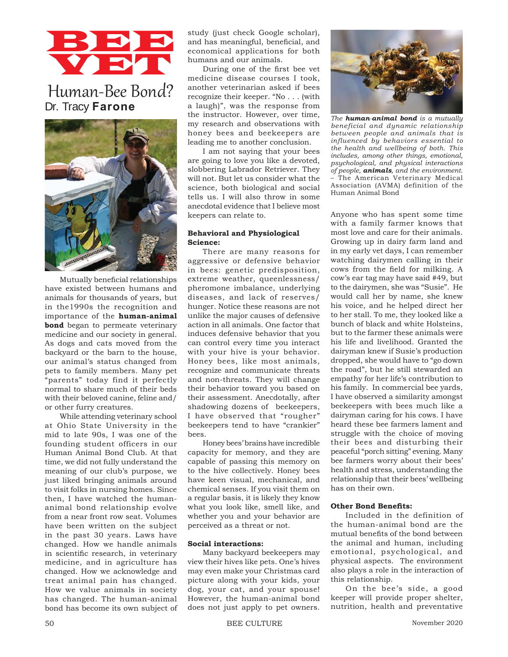# BBB VET

# Human-Bee Bond? Dr. Tracy **Farone**



Mutually beneficial relationships have existed between humans and animals for thousands of years, but in the1990s the recognition and importance of the **human-animal bond** began to permeate veterinary medicine and our society in general. As dogs and cats moved from the backyard or the barn to the house, our animal's status changed from pets to family members. Many pet "parents" today find it perfectly normal to share much of their beds with their beloved canine, feline and/ or other furry creatures.

While attending veterinary school at Ohio State University in the mid to late 90s, I was one of the founding student officers in our Human Animal Bond Club. At that time, we did not fully understand the meaning of our club's purpose, we just liked bringing animals around to visit folks in nursing homes. Since then, I have watched the humananimal bond relationship evolve from a near front row seat. Volumes have been written on the subject in the past 30 years. Laws have changed. How we handle animals in scientific research, in veterinary medicine, and in agriculture has changed. How we acknowledge and treat animal pain has changed. How we value animals in society has changed. The human-animal bond has become its own subject of study (just check Google scholar), and has meaningful, beneficial, and economical applications for both humans and our animals.

During one of the first bee vet medicine disease courses I took, another veterinarian asked if bees recognize their keeper. "No . . . (with a laugh)", was the response from the instructor. However, over time, my research and observations with honey bees and beekeepers are leading me to another conclusion.

I am not saying that your bees are going to love you like a devoted, slobbering Labrador Retriever. They will not. But let us consider what the science, both biological and social tells us. I will also throw in some anecdotal evidence that I believe most keepers can relate to.

#### **Behavioral and Physiological Science:**

There are many reasons for aggressive or defensive behavior in bees: genetic predisposition, extreme weather, queenlessness/ pheromone imbalance, underlying diseases, and lack of reserves/ hunger. Notice these reasons are not unlike the major causes of defensive action in all animals. One factor that induces defensive behavior that you can control every time you interact with your hive is your behavior. Honey bees, like most animals, recognize and communicate threats and non-threats. They will change their behavior toward you based on their assessment. Anecdotally, after shadowing dozens of beekeepers, I have observed that "rougher" beekeepers tend to have "crankier" bees.

Honey bees' brains have incredible capacity for memory, and they are capable of passing this memory on to the hive collectively. Honey bees have keen visual, mechanical, and chemical senses. If you visit them on a regular basis, it is likely they know what you look like, smell like, and whether you and your behavior are perceived as a threat or not.

### **Social interactions:**

Many backyard beekeepers may view their hives like pets. One's hives may even make your Christmas card picture along with your kids, your dog, your cat, and your spouse! However, the human-animal bond does not just apply to pet owners.



*The human-animal bond is a mutually beneficial and dynamic relationship between people and animals that is influenced by behaviors essential to the health and wellbeing of both. This includes, among other things, emotional, psychological, and physical interactions of people, animals, and the environment.*  – The American Veterinary Medical Association (AVMA) definition of the Human Animal Bond

Anyone who has spent some time with a family farmer knows that most love and care for their animals. Growing up in dairy farm land and in my early vet days, I can remember watching dairymen calling in their cows from the field for milking. A cow's ear tag may have said #49, but to the dairymen, she was "Susie". He would call her by name, she knew his voice, and he helped direct her to her stall. To me, they looked like a bunch of black and white Holsteins, but to the farmer these animals were his life and livelihood. Granted the dairyman knew if Susie's production dropped, she would have to "go down the road", but he still stewarded an empathy for her life's contribution to his family. In commercial bee yards, I have observed a similarity amongst beekeepers with bees much like a dairyman caring for his cows. I have heard these bee farmers lament and struggle with the choice of moving their bees and disturbing their peaceful "porch sitting" evening. Many bee farmers worry about their bees' health and stress, understanding the relationship that their bees' wellbeing has on their own.

# **Other Bond Benefits:**

Included in the definition of the human-animal bond are the mutual benefits of the bond between the animal and human, including emotional, psychological, and physical aspects. The environment also plays a role in the interaction of this relationship.

On the bee's side, a good keeper will provide proper shelter, nutrition, health and preventative